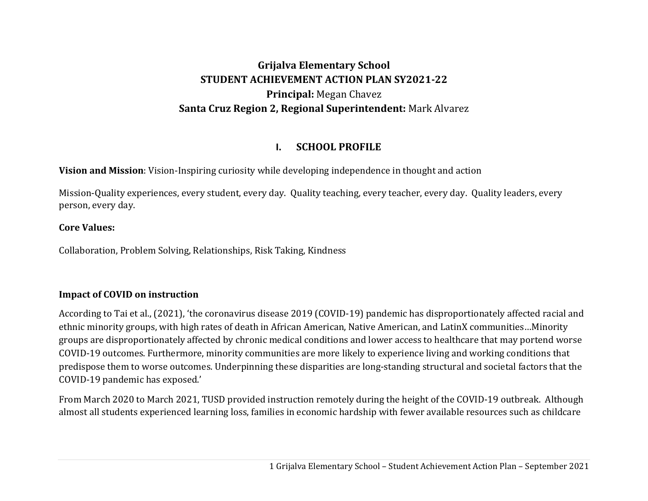### **Grijalva Elementary School STUDENT ACHIEVEMENT ACTION PLAN SY2021‐22 Principal:** Megan Chavez **Santa Cruz Region 2, Regional Superintendent:** Mark Alvarez

#### **I.SCHOOL PROFILE**

**Vision and Mission**: Vision-Inspiring curiosity while developing independence in thought and action

Mission-Quality experiences, every student, every day. Quality teaching, every teacher, every day. Quality leaders, every person, every day.

#### **Core Values:**

Collaboration, Problem Solving, Relationships, Risk Taking, Kindness

### **Impact of COVID on instruction**

According to Tai et al., (2021), 'the coronavirus disease 2019 (COVID-19) pandemic has disproportionately affected racial and ethnic minority groups, with high rates of death in African American, Native American, and LatinX communities…Minority groups are disproportionately affected by chronic medical conditions and lower access to healthcare that may portend worse COVID-19 outcomes. Furthermore, minority communities are more likely to experience living and working conditions that predispose them to worse outcomes. Underpinning these disparities are long-standing structural and societal factors that the COVID-19 pandemic has exposed.'

From March 2020 to March 2021, TUSD provided instruction remotely during the height of the COVID-19 outbreak. Although almost all students experienced learning loss, families in economic hardship with fewer available resources such as childcare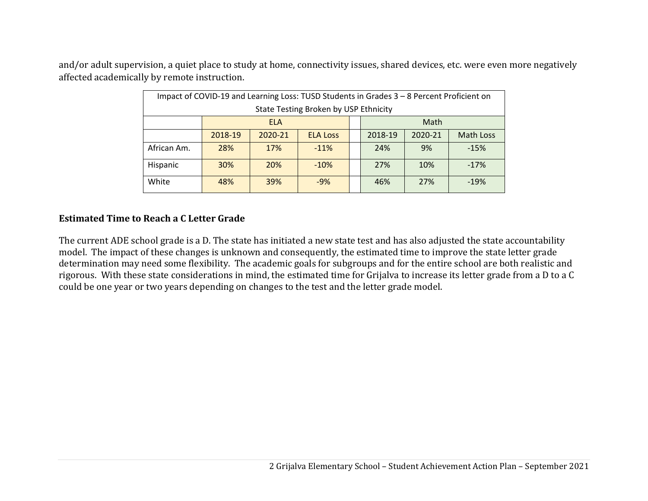and/or adult supervision, a quiet place to study at home, connectivity issues, shared devices, etc. were even more negatively affected academically by remote instruction.

|             | Impact of COVID-19 and Learning Loss: TUSD Students in Grades 3 - 8 Percent Proficient on |                            |                                       |  |     |         |                  |
|-------------|-------------------------------------------------------------------------------------------|----------------------------|---------------------------------------|--|-----|---------|------------------|
|             |                                                                                           |                            | State Testing Broken by USP Ethnicity |  |     |         |                  |
|             | Math<br><b>ELA</b>                                                                        |                            |                                       |  |     |         |                  |
|             | 2018-19                                                                                   | 2020-21<br><b>ELA Loss</b> |                                       |  |     | 2020-21 | <b>Math Loss</b> |
| African Am. | 28%                                                                                       | 17%                        | $-11%$                                |  | 24% | 9%      | $-15%$           |
| Hispanic    | 30%<br>20%<br>$-10%$                                                                      |                            |                                       |  | 27% | 10%     | $-17%$           |
| White       | 48%                                                                                       | 39%                        | $-9%$                                 |  | 46% | 27%     | $-19%$           |

#### **Estimated Time to Reach <sup>a</sup> C Letter Grade**

The current ADE school grade is a D. The state has initiated a new state test and has also adjusted the state accountability model. The impact of these changes is unknown and consequently, the estimated time to improve the state letter grade determination may need some flexibility. The academic goals for subgroups and for the entire school are both realistic and rigorous. With these state considerations in mind, the estimated time for Grijalva to increase its letter grade from a D to a C could be one year or two years depending on changes to the test and the letter grade model.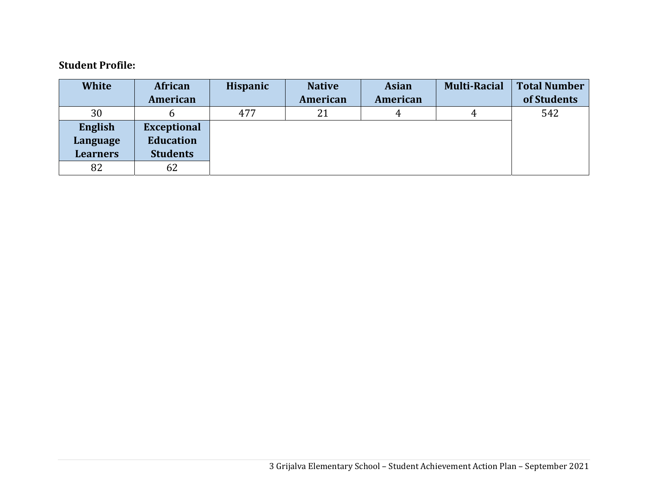#### **Student Profile:**

| <b>White</b>    | African            | <b>Hispanic</b> | <b>Native</b> | <b>Asian</b> | <b>Multi-Racial</b> | <b>Total Number</b> |
|-----------------|--------------------|-----------------|---------------|--------------|---------------------|---------------------|
|                 | American           |                 | American      | American     |                     | of Students         |
| 30              |                    | 477             | 21            |              |                     | 542                 |
| English         | <b>Exceptional</b> |                 |               |              |                     |                     |
| Language        | <b>Education</b>   |                 |               |              |                     |                     |
| <b>Learners</b> | <b>Students</b>    |                 |               |              |                     |                     |
| 82              | 62                 |                 |               |              |                     |                     |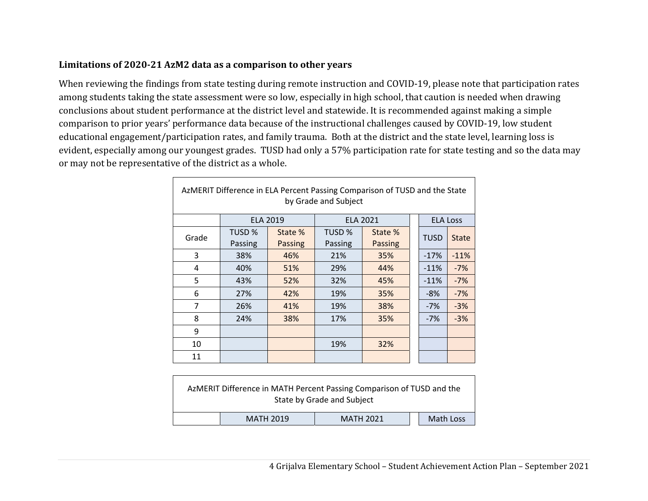#### **Limitations of 2020‐21 AzM2 data as <sup>a</sup> comparison to other years**

When reviewing the findings from state testing during remote instruction and COVID-19, please note that participation rates among students taking the state assessment were so low, especially in high school, that caution is needed when drawing conclusions about student performance at the district level and statewide. It is recommended against making a simple comparison to prior years' performance data because of the instructional challenges caused by COVID-19, low student educational engagement/participation rates, and family trauma. Both at the district and the state level, learning loss is evident, especially among our youngest grades. TUSD had only a 57% participation rate for state testing and so the data may or may not be representative of the district as a whole.

|       | AzMERIT Difference in ELA Percent Passing Comparison of TUSD and the State<br>by Grade and Subject |                           |                   |                           |  |                 |              |
|-------|----------------------------------------------------------------------------------------------------|---------------------------|-------------------|---------------------------|--|-----------------|--------------|
|       | <b>ELA 2019</b>                                                                                    |                           |                   | <b>ELA 2021</b>           |  | <b>ELA Loss</b> |              |
| Grade | TUSD %<br>Passing                                                                                  | State %<br><b>Passing</b> | TUSD %<br>Passing | State %<br><b>Passing</b> |  | <b>TUSD</b>     | <b>State</b> |
| 3     | 38%                                                                                                | 46%                       | 21%               | 35%                       |  | $-17%$          | $-11%$       |
| 4     | 40%                                                                                                | 51%                       | 29%               | 44%                       |  | $-11%$          | $-7%$        |
| 5     | 43%                                                                                                | 52%                       | 32%               | 45%                       |  | $-11%$          | $-7%$        |
| 6     | 27%                                                                                                | 42%                       | 19%               | 35%                       |  | $-8%$           | $-7%$        |
| 7     | 26%                                                                                                | 41%                       | 19%               | 38%                       |  | $-7%$           | $-3%$        |
| 8     | 24%                                                                                                | 38%                       | 17%               | 35%                       |  | $-7%$           | $-3%$        |
| 9     |                                                                                                    |                           |                   |                           |  |                 |              |
| 10    |                                                                                                    |                           | 19%               | 32%                       |  |                 |              |
| 11    |                                                                                                    |                           |                   |                           |  |                 |              |

|                                                   |  | AzMERIT Difference in MATH Percent Passing Comparison of TUSD and the<br>State by Grade and Subject |  |  |  |  |  |
|---------------------------------------------------|--|-----------------------------------------------------------------------------------------------------|--|--|--|--|--|
| Math Loss<br><b>MATH 2019</b><br><b>MATH 2021</b> |  |                                                                                                     |  |  |  |  |  |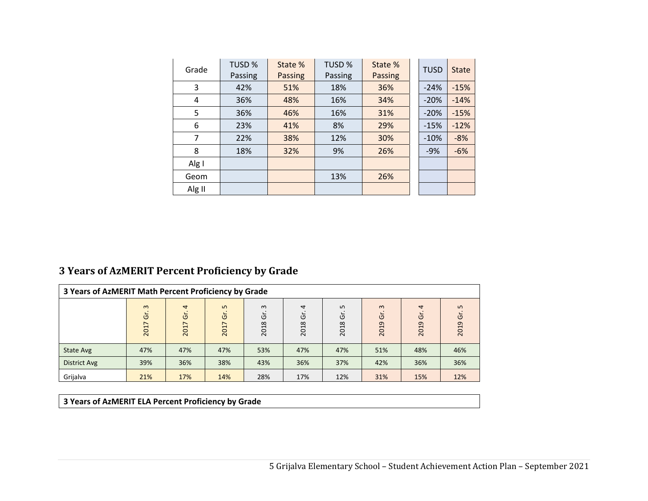| Grade  | <b>TUSD %</b><br>Passing | State %<br>Passing | TUSD %<br>Passing | State %<br>Passing | <b>TUSD</b> | <b>State</b> |
|--------|--------------------------|--------------------|-------------------|--------------------|-------------|--------------|
| 3      | 42%                      | 51%                | 18%               | 36%                | $-24%$      | $-15%$       |
| 4      | 36%                      | 48%                | 16%               | 34%                | $-20%$      | $-14%$       |
| 5      | 36%                      | 46%                | 16%               | 31%                | $-20%$      | $-15%$       |
| 6      | 23%                      | 41%                | 8%                | 29%                | $-15%$      | $-12%$       |
| 7      | 22%                      | 38%                | 12%               | 30%                | $-10%$      | $-8%$        |
| 8      | 18%                      | 32%                | 9%                | 26%                | $-9%$       | $-6%$        |
| Alg I  |                          |                    |                   |                    |             |              |
| Geom   |                          |                    | 13%               | 26%                |             |              |
| Alg II |                          |                    |                   |                    |             |              |

#### **3 Years of AzMERIT Percent Proficiency by Grade**

|                     | 3 Years of AzMERIT Math Percent Proficiency by Grade |                                              |                             |                       |                |                 |                       |                             |                               |
|---------------------|------------------------------------------------------|----------------------------------------------|-----------------------------|-----------------------|----------------|-----------------|-----------------------|-----------------------------|-------------------------------|
|                     | $\omega$<br>ັບ<br>$\overline{\phantom{0}}$<br>201    | $\overline{4}$<br>Ğ<br>$\overline{ }$<br>201 | $\sqrt{2}$<br>উ<br>∼<br>201 | $\omega$<br>Ğ<br>2018 | 4<br>ত<br>2018 | LO<br>Ğ<br>2018 | $\omega$<br>Ğ<br>2019 | $\overline{a}$<br>Ğ<br>2019 | $\mathbf{L}$<br>G<br>ō<br>201 |
| State Avg           | 47%                                                  | 47%                                          | 47%                         | 53%                   | 47%            | 47%             | 51%                   | 48%                         | 46%                           |
| <b>District Avg</b> | 39%                                                  | 36%                                          | 38%                         | 43%                   | 36%            | 37%             | 42%                   | 36%                         | 36%                           |
| Grijalva            | 21%                                                  | 17%                                          | 14%                         | 28%                   | 17%            | 12%             | 31%                   | 15%                         | 12%                           |

#### **3 Years of AzMERIT ELA Percent Proficiency by Grade**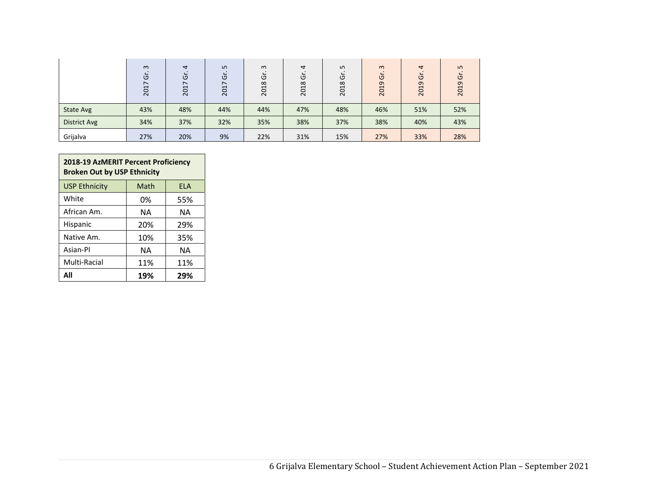|                     | $\omega$<br>ပ<br>↖<br>$\overline{\phantom{0}}$<br>$\overline{c}$ | 4<br>$\overline{c}$<br>2017 | LO.<br>ত<br>$\overline{ }$<br>201 | $\omega$<br>Ğ<br>2018 | 4<br>$\circ$<br>2018 | LO.<br>Ğ<br>2018 | $\omega$<br>Ğ<br>$\sigma$<br>$\overline{ }$<br>20 | $\overline{a}$<br>$\overline{C}$<br>2019 | $\sqrt{ }$<br>פ<br>ᡡ<br>$\mathbf{\mathbf{\mathsf{H}}}$<br>$\overline{N}$ |
|---------------------|------------------------------------------------------------------|-----------------------------|-----------------------------------|-----------------------|----------------------|------------------|---------------------------------------------------|------------------------------------------|--------------------------------------------------------------------------|
| <b>State Avg</b>    | 43%                                                              | 48%                         | 44%                               | 44%                   | 47%                  | 48%              | 46%                                               | 51%                                      | 52%                                                                      |
| <b>District Avg</b> | 34%                                                              | 37%                         | 32%                               | 35%                   | 38%                  | 37%              | 38%                                               | 40%                                      | 43%                                                                      |
| Grijalva            | 27%                                                              | 20%                         | 9%                                | 22%                   | 31%                  | 15%              | 27%                                               | 33%                                      | 28%                                                                      |

| 2018-19 AzMERIT Percent Proficiency<br><b>Broken Out by USP Ethnicity</b> |      |            |  |  |
|---------------------------------------------------------------------------|------|------------|--|--|
| <b>USP Ethnicity</b>                                                      | Math | <b>ELA</b> |  |  |
| White                                                                     | 0%   | 55%        |  |  |
| African Am.                                                               | NΑ   | NΑ         |  |  |
| Hispanic                                                                  | 20%  | 29%        |  |  |
| Native Am.                                                                | 10%  | 35%        |  |  |
| Asian-Pl                                                                  | ΝA   | NΑ         |  |  |
| Multi-Racial<br>11%<br>11%                                                |      |            |  |  |
| All                                                                       | 19%  | 29%        |  |  |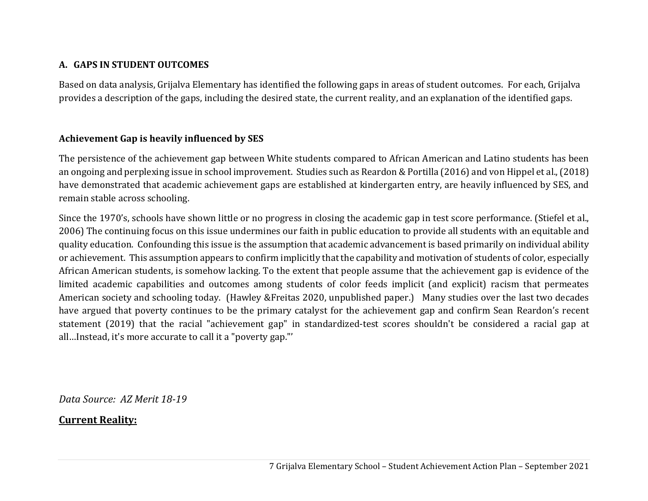### **A. GAPS IN STUDENT OUTCOMES**

Based on data analysis, Grijalva Elementary has identified the following gaps in areas of student outcomes. For each, Grijalva provides a description of the gaps, including the desired state, the current reality, and an explanation of the identified gaps.

### **Achievement Gap is heavily influenced by SES**

The persistence of the achievement gap between White students compared to African American and Latino students has been an ongoing and perplexing issue in school improvement. Studies such as Reardon & Portilla (2016) and von Hippel et al., (2018) have demonstrated that academic achievement gaps are established at kindergarten entry, are heavily influenced by SES, and remain stable across schooling.

Since the 1970's, schools have shown little or no progress in closing the academic gap in test score performance. (Stiefel et al., 2006) The continuing focus on this issue undermines our faith in public education to provide all students with an equitable and quality education. Confounding this issue is the assumption that academic advancement is based primarily on individual ability or achievement. This assumption appears to confirm implicitly that the capability and motivation of students of color, especially African American students, is somehow lacking. To the extent that people assume that the achievement gap is evidence of the limited academic capabilities and outcomes among students of color feeds implicit (and explicit) racism that permeates American society and schooling today. (Hawley &Freitas 2020, unpublished paper.) Many studies over the last two decades have argued that poverty continues to be the primary catalyst for the achievement gap and confirm Sean Reardon's recent statement (2019) that the racial "achievement gap" in standardized-test scores shouldn't be considered a racial gap at all…Instead, it's more accurate to call it a "poverty gap."'

*Data Source: AZ Merit 18‐19*

### **Current Reality:**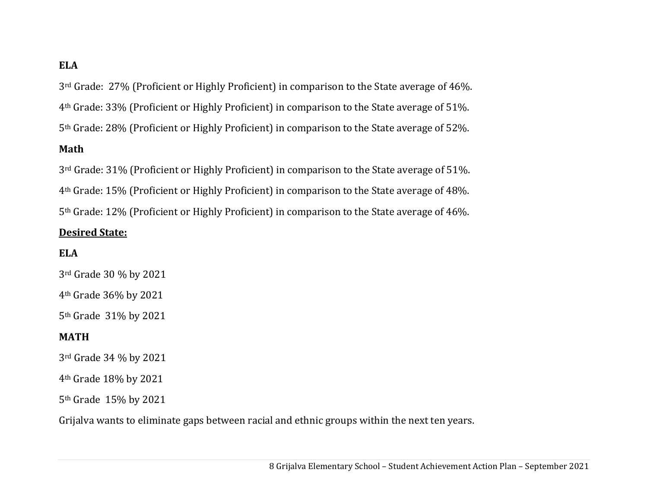### **ELA**

3rd Grade: 27% (Proficient or Highly Proficient) in comparison to the State average of 46%. 4th Grade: 33% (Proficient or Highly Proficient) in comparison to the State average of 51%. 5th Grade: 28% (Proficient or Highly Proficient) in comparison to the State average of 52%. **Math**

3rd Grade: 31% (Proficient or Highly Proficient) in comparison to the State average of 51%. 4th Grade: 15% (Proficient or Highly Proficient) in comparison to the State average of 48%. 5th Grade: 12% (Proficient or Highly Proficient) in comparison to the State average of 46%.

#### **Desired State:**

#### **ELA**

3rd Grade 30 % by 2021

4th Grade 36% by 2021

5th Grade 31% by 2021

### **MATH**

3rd Grade 34 % by 2021

4th Grade 18% by 2021

5th Grade 15% by 2021

Grijalva wants to eliminate gaps between racial and ethnic groups within the next ten years.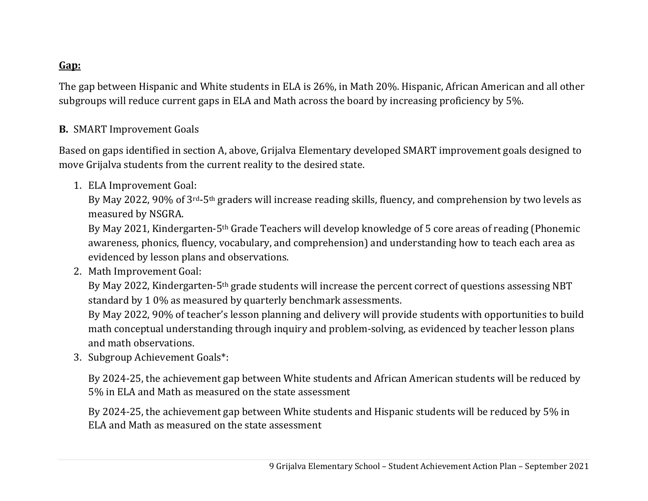### **Gap:**

The gap between Hispanic and White students in ELA is 26%, in Math 20%. Hispanic, African American and all other subgroups will reduce current gaps in ELA and Math across the board by increasing proficiency by 5%.

### **B.** SMART Improvement Goals

Based on gaps identified in section A, above, Grijalva Elementary developed SMART improvement goals designed to move Grijalva students from the current reality to the desired state.

1. ELA Improvement Goal:

By May 2022, 90% of 3rd-5th graders will increase reading skills, fluency, and comprehension by two levels as measured by NSGRA.

By May 2021, Kindergarten-5th Grade Teachers will develop knowledge of 5 core areas of reading (Phonemic awareness, phonics, fluency, vocabulary, and comprehension) and understanding how to teach each area as evidenced by lesson plans and observations.

2. Math Improvement Goal:

By May 2022, Kindergarten-5th grade students will increase the percent correct of questions assessing NBT standard by 1 0% as measured by quarterly benchmark assessments.

By May 2022, 90% of teacher's lesson planning and delivery will provide students with opportunities to build math conceptual understanding through inquiry and problem-solving, as evidenced by teacher lesson plans and math observations.

3. Subgroup Achievement Goals\*:

By 2024-25, the achievement gap between White students and African American students will be reduced by 5% in ELA and Math as measured on the state assessment

By 2024-25, the achievement gap between White students and Hispanic students will be reduced by 5% in ELA and Math as measured on the state assessment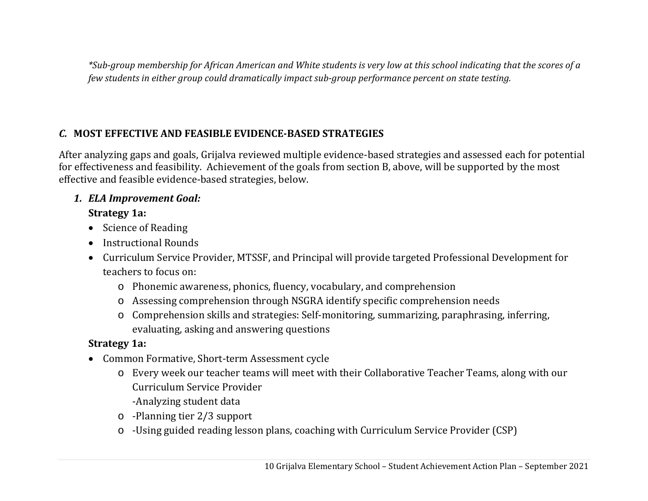\*Sub-group membership for African American and White students is very low at this school indicating that the scores of a *few students in either group could dramatically impact sub‐group performance percent on state testing.*

### *C.* **MOST EFFECTIVE AND FEASIBLE EVIDENCE‐BASED STRATEGIES**

After analyzing gaps and goals, Grijalva reviewed multiple evidence-based strategies and assessed each for potential for effectiveness and feasibility. Achievement of the goals from section B, above, will be supported by the most effective and feasible evidence-based strategies, below.

### *1. ELA Improvement Goal:*

### **Strategy 1a:**

- Science of Reading
- Instructional Rounds
- Curriculum Service Provider, MTSSF, and Principal will provide targeted Professional Development for teachers to focus on:
	- o Phonemic awareness, phonics, fluency, vocabulary, and comprehension
	- o Assessing comprehension through NSGRA identify specific comprehension needs
	- o Comprehension skills and strategies: Self-monitoring, summarizing, paraphrasing, inferring, evaluating, asking and answering questions

### **Strategy 1a:**

- Common Formative, Short-term Assessment cycle
	- o Every week our teacher teams will meet with their Collaborative Teacher Teams, along with our Curriculum Service Provider-Analyzing student data
	- o -Planning tier 2/3 support
	- o -Using guided reading lesson plans, coaching with Curriculum Service Provider (CSP)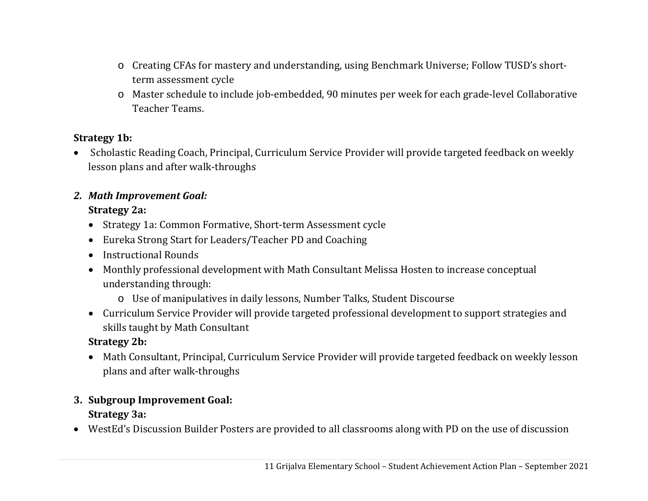- o Creating CFAs for mastery and understanding, using Benchmark Universe; Follow TUSD's shortterm assessment cycle
- o Master schedule to include job-embedded, 90 minutes per week for each grade-level Collaborative Teacher Teams.

### **Strategy 1b:**

• Scholastic Reading Coach, Principal, Curriculum Service Provider will provide targeted feedback on weekly lesson plans and after walk-throughs

# *2. Math Improvement Goal:*

### **Strategy 2a:**

- Strategy 1a: Common Formative, Short-term Assessment cycle
- Eureka Strong Start for Leaders/Teacher PD and Coaching
- Instructional Rounds
- Monthly professional development with Math Consultant Melissa Hosten to increase conceptual understanding through:
	- o Use of manipulatives in daily lessons, Number Talks, Student Discourse
- Curriculum Service Provider will provide targeted professional development to support strategies and skills taught by Math Consultant

### **Strategy 2b:**

 Math Consultant, Principal, Curriculum Service Provider will provide targeted feedback on weekly lesson plans and after walk-throughs

### **3. Subgroup Improvement Goal: Strategy 3a:**

WestEd's Discussion Builder Posters are provided to all classrooms along with PD on the use of discussion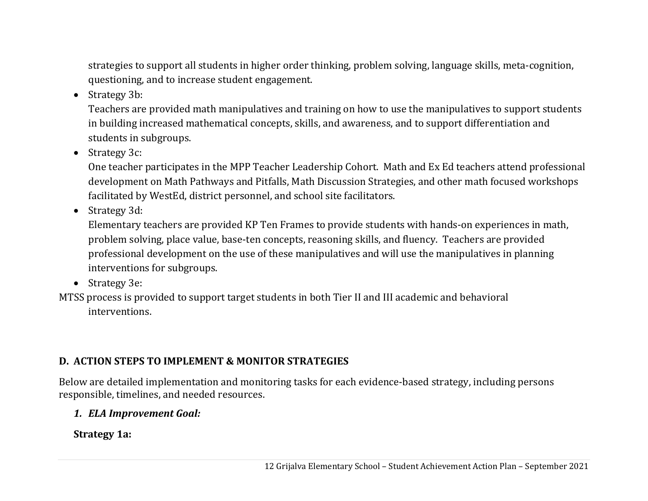strategies to support all students in higher order thinking, problem solving, language skills, meta-cognition, questioning, and to increase student engagement.

• Strategy 3b:

Teachers are provided math manipulatives and training on how to use the manipulatives to support students in building increased mathematical concepts, skills, and awareness, and to support differentiation and students in subgroups.

• Strategy 3c:

One teacher participates in the MPP Teacher Leadership Cohort. Math and Ex Ed teachers attend professional development on Math Pathways and Pitfalls, Math Discussion Strategies, and other math focused workshops facilitated by WestEd, district personnel, and school site facilitators.

• Strategy 3d:

Elementary teachers are provided KP Ten Frames to provide students with hands-on experiences in math, problem solving, place value, base-ten concepts, reasoning skills, and fluency. Teachers are provided professional development on the use of these manipulatives and will use the manipulatives in planning interventions for subgroups.

• Strategy 3e:

MTSS process is provided to support target students in both Tier II and III academic and behavioral interventions.

### **D. ACTION STEPS TO IMPLEMENT & MONITOR STRATEGIES**

Below are detailed implementation and monitoring tasks for each evidence-based strategy, including persons responsible, timelines, and needed resources.

### *1. ELA Improvement Goal:*

**Strategy 1a:**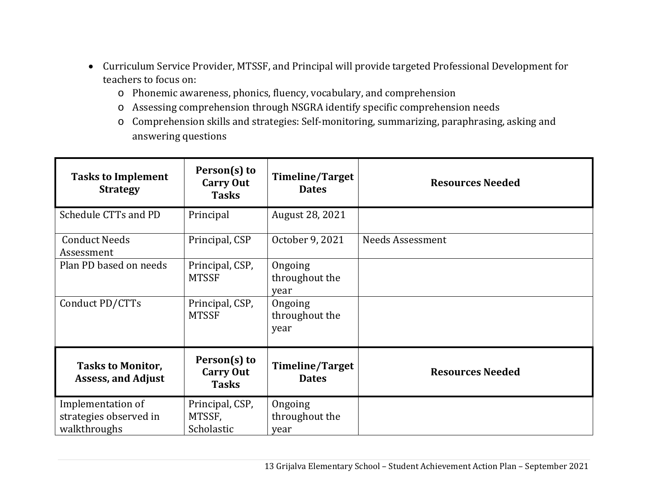- Curriculum Service Provider, MTSSF, and Principal will provide targeted Professional Development for teachers to focus on:
	- o Phonemic awareness, phonics, fluency, vocabulary, and comprehension
	- o Assessing comprehension through NSGRA identify specific comprehension needs
	- o Comprehension skills and strategies: Self-monitoring, summarizing, paraphrasing, asking and answering questions

| <b>Tasks to Implement</b><br><b>Strategy</b>                | Person(s) to<br><b>Carry Out</b><br><b>Tasks</b> | <b>Timeline/Target</b><br><b>Dates</b> | <b>Resources Needed</b> |
|-------------------------------------------------------------|--------------------------------------------------|----------------------------------------|-------------------------|
| Schedule CTTs and PD                                        | Principal                                        | August 28, 2021                        |                         |
| <b>Conduct Needs</b><br>Assessment                          | Principal, CSP                                   | October 9, 2021                        | <b>Needs Assessment</b> |
| Plan PD based on needs                                      | Principal, CSP,<br><b>MTSSF</b>                  | Ongoing<br>throughout the<br>year      |                         |
| Conduct PD/CTTs                                             | Principal, CSP,<br><b>MTSSF</b>                  | Ongoing<br>throughout the<br>year      |                         |
| <b>Tasks to Monitor,</b><br><b>Assess, and Adjust</b>       | Person(s) to<br><b>Carry Out</b><br><b>Tasks</b> | <b>Timeline/Target</b><br><b>Dates</b> | <b>Resources Needed</b> |
| Implementation of<br>strategies observed in<br>walkthroughs | Principal, CSP,<br>MTSSF,<br>Scholastic          | Ongoing<br>throughout the<br>year      |                         |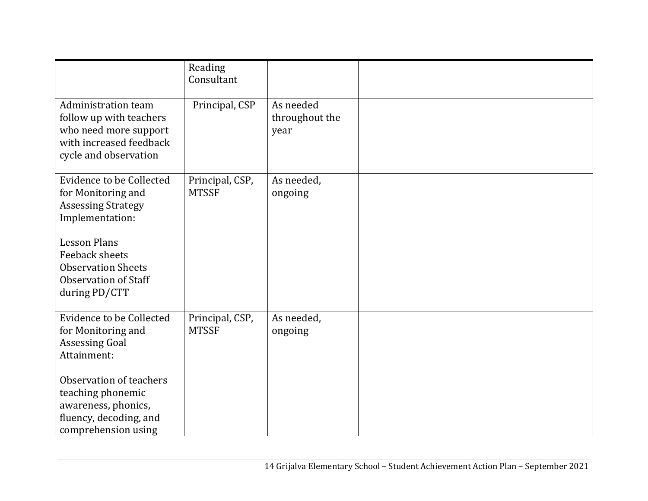|                                                                                                                                    | Reading<br>Consultant           |                                     |  |
|------------------------------------------------------------------------------------------------------------------------------------|---------------------------------|-------------------------------------|--|
| <b>Administration team</b><br>follow up with teachers<br>who need more support<br>with increased feedback<br>cycle and observation | Principal, CSP                  | As needed<br>throughout the<br>year |  |
| <b>Evidence to be Collected</b><br>for Monitoring and<br><b>Assessing Strategy</b><br>Implementation:                              | Principal, CSP,<br><b>MTSSF</b> | As needed,<br>ongoing               |  |
| <b>Lesson Plans</b><br><b>Feeback sheets</b><br><b>Observation Sheets</b><br><b>Observation of Staff</b><br>during PD/CTT          |                                 |                                     |  |
| Evidence to be Collected<br>for Monitoring and<br><b>Assessing Goal</b><br>Attainment:                                             | Principal, CSP,<br><b>MTSSF</b> | As needed,<br>ongoing               |  |
| Observation of teachers<br>teaching phonemic<br>awareness, phonics,<br>fluency, decoding, and<br>comprehension using               |                                 |                                     |  |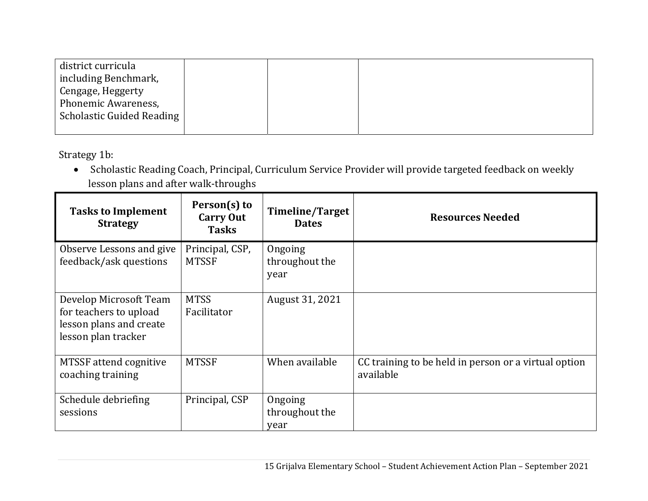| district curricula        |  |  |
|---------------------------|--|--|
| including Benchmark,      |  |  |
| Cengage, Heggerty         |  |  |
| Phonemic Awareness,       |  |  |
| Scholastic Guided Reading |  |  |
|                           |  |  |

Strategy 1b:

 Scholastic Reading Coach, Principal, Curriculum Service Provider will provide targeted feedback on weekly lesson plans and after walk-throughs

| <b>Tasks to Implement</b><br><b>Strategy</b>                                                       | Person(s) to<br><b>Carry Out</b><br><b>Tasks</b> | Timeline/Target<br><b>Dates</b>   | <b>Resources Needed</b>                                           |
|----------------------------------------------------------------------------------------------------|--------------------------------------------------|-----------------------------------|-------------------------------------------------------------------|
| Observe Lessons and give<br>feedback/ask questions                                                 | Principal, CSP,<br><b>MTSSF</b>                  | Ongoing<br>throughout the<br>year |                                                                   |
| Develop Microsoft Team<br>for teachers to upload<br>lesson plans and create<br>lesson plan tracker | <b>MTSS</b><br>Facilitator                       | August 31, 2021                   |                                                                   |
| MTSSF attend cognitive<br>coaching training                                                        | <b>MTSSF</b>                                     | When available                    | CC training to be held in person or a virtual option<br>available |
| Schedule debriefing<br>sessions                                                                    | Principal, CSP                                   | Ongoing<br>throughout the<br>year |                                                                   |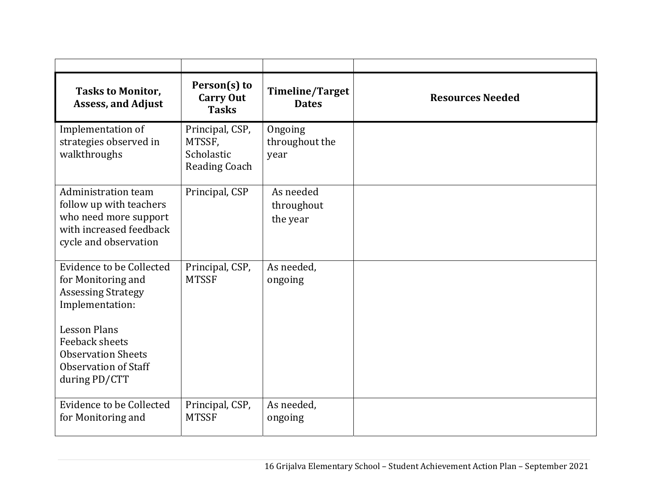| <b>Tasks to Monitor,</b><br><b>Assess, and Adjust</b>                                                                       | Person(s) to<br><b>Carry Out</b><br><b>Tasks</b>                | <b>Timeline/Target</b><br><b>Dates</b> | <b>Resources Needed</b> |
|-----------------------------------------------------------------------------------------------------------------------------|-----------------------------------------------------------------|----------------------------------------|-------------------------|
| Implementation of<br>strategies observed in<br>walkthroughs                                                                 | Principal, CSP,<br>MTSSF,<br>Scholastic<br><b>Reading Coach</b> | Ongoing<br>throughout the<br>year      |                         |
| Administration team<br>follow up with teachers<br>who need more support<br>with increased feedback<br>cycle and observation | Principal, CSP                                                  | As needed<br>throughout<br>the year    |                         |
| <b>Evidence to be Collected</b><br>for Monitoring and<br><b>Assessing Strategy</b><br>Implementation:                       | Principal, CSP,<br><b>MTSSF</b>                                 | As needed,<br>ongoing                  |                         |
| <b>Lesson Plans</b><br>Feeback sheets<br><b>Observation Sheets</b><br><b>Observation of Staff</b><br>during PD/CTT          |                                                                 |                                        |                         |
| <b>Evidence to be Collected</b><br>for Monitoring and                                                                       | Principal, CSP,<br><b>MTSSF</b>                                 | As needed,<br>ongoing                  |                         |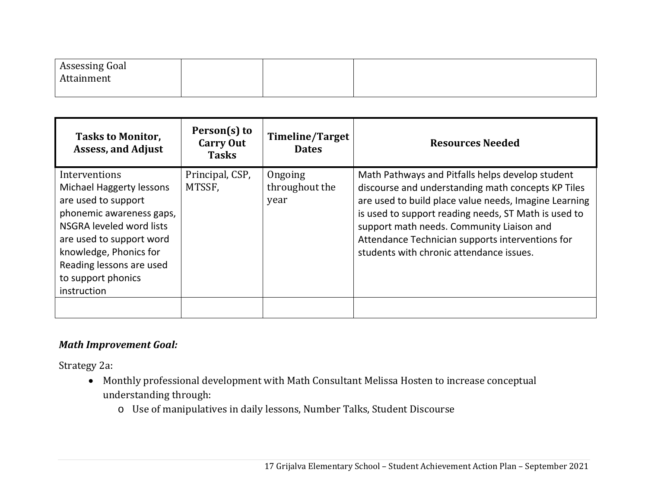| Assessing Goal |  |  |
|----------------|--|--|
| Attainment     |  |  |
|                |  |  |

| <b>Tasks to Monitor,</b><br><b>Assess, and Adjust</b>                                                                                                                                                                                                  | Person(s) to<br><b>Carry Out</b><br><b>Tasks</b> | <b>Timeline/Target</b><br><b>Dates</b> | <b>Resources Needed</b>                                                                                                                                                                                                                                                                                                                                              |
|--------------------------------------------------------------------------------------------------------------------------------------------------------------------------------------------------------------------------------------------------------|--------------------------------------------------|----------------------------------------|----------------------------------------------------------------------------------------------------------------------------------------------------------------------------------------------------------------------------------------------------------------------------------------------------------------------------------------------------------------------|
| Interventions<br><b>Michael Haggerty lessons</b><br>are used to support<br>phonemic awareness gaps,<br>NSGRA leveled word lists<br>are used to support word<br>knowledge, Phonics for<br>Reading lessons are used<br>to support phonics<br>instruction | Principal, CSP,<br>MTSSF,                        | Ongoing<br>throughout the<br>year      | Math Pathways and Pitfalls helps develop student<br>discourse and understanding math concepts KP Tiles<br>are used to build place value needs, Imagine Learning<br>is used to support reading needs, ST Math is used to<br>support math needs. Community Liaison and<br>Attendance Technician supports interventions for<br>students with chronic attendance issues. |
|                                                                                                                                                                                                                                                        |                                                  |                                        |                                                                                                                                                                                                                                                                                                                                                                      |

### *Math Improvement Goal:*

Strategy 2a:

- Monthly professional development with Math Consultant Melissa Hosten to increase conceptual understanding through:
	- o Use of manipulatives in daily lessons, Number Talks, Student Discourse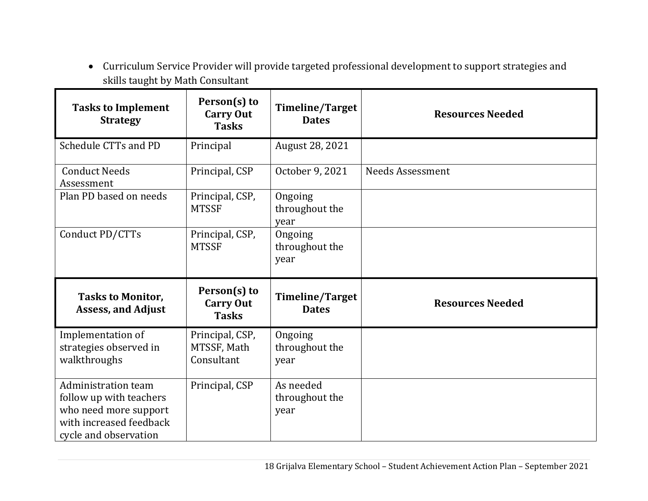Curriculum Service Provider will provide targeted professional development to support strategies and skills taught by Math Consultant

| <b>Tasks to Implement</b><br><b>Strategy</b>                                                       | Person(s) to<br><b>Carry Out</b><br><b>Tasks</b> | <b>Timeline/Target</b><br><b>Dates</b> | <b>Resources Needed</b> |
|----------------------------------------------------------------------------------------------------|--------------------------------------------------|----------------------------------------|-------------------------|
| Schedule CTTs and PD                                                                               | Principal                                        | August 28, 2021                        |                         |
| <b>Conduct Needs</b><br>Assessment                                                                 | Principal, CSP                                   | October 9, 2021                        | <b>Needs Assessment</b> |
| Plan PD based on needs                                                                             | Principal, CSP,<br><b>MTSSF</b>                  | Ongoing<br>throughout the<br>year      |                         |
| Conduct PD/CTTs                                                                                    | Principal, CSP,<br><b>MTSSF</b>                  | Ongoing<br>throughout the<br>year      |                         |
| <b>Tasks to Monitor,</b><br><b>Assess, and Adjust</b>                                              | Person(s) to<br><b>Carry Out</b><br><b>Tasks</b> | <b>Timeline/Target</b><br><b>Dates</b> | <b>Resources Needed</b> |
| Implementation of<br>strategies observed in<br>walkthroughs                                        | Principal, CSP,<br>MTSSF, Math<br>Consultant     | Ongoing<br>throughout the<br>year      |                         |
| Administration team<br>follow up with teachers<br>who need more support<br>with increased feedback | Principal, CSP                                   | As needed<br>throughout the<br>year    |                         |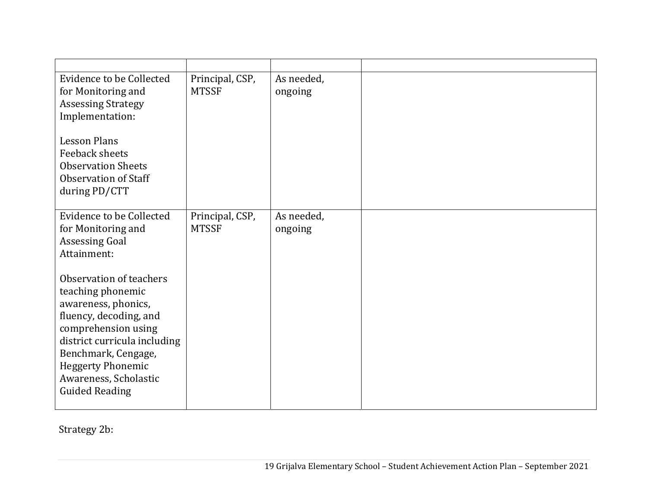| Evidence to be Collected<br>for Monitoring and<br><b>Assessing Strategy</b><br>Implementation:<br><b>Lesson Plans</b><br>Feeback sheets<br><b>Observation Sheets</b><br><b>Observation of Staff</b>                                                       | Principal, CSP,<br><b>MTSSF</b> | As needed,<br>ongoing |  |  |
|-----------------------------------------------------------------------------------------------------------------------------------------------------------------------------------------------------------------------------------------------------------|---------------------------------|-----------------------|--|--|
| during PD/CTT                                                                                                                                                                                                                                             |                                 |                       |  |  |
| Evidence to be Collected<br>for Monitoring and<br><b>Assessing Goal</b><br>Attainment:                                                                                                                                                                    | Principal, CSP,<br><b>MTSSF</b> | As needed,<br>ongoing |  |  |
| Observation of teachers<br>teaching phonemic<br>awareness, phonics,<br>fluency, decoding, and<br>comprehension using<br>district curricula including<br>Benchmark, Cengage,<br><b>Heggerty Phonemic</b><br>Awareness, Scholastic<br><b>Guided Reading</b> |                                 |                       |  |  |

Strategy 2b: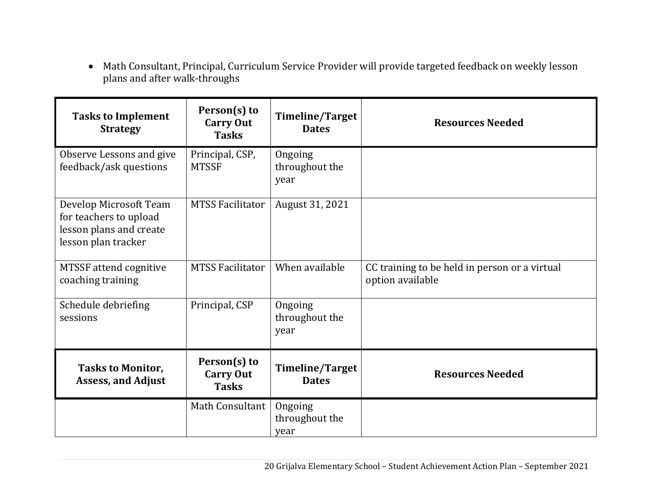Math Consultant, Principal, Curriculum Service Provider will provide targeted feedback on weekly lesson plans and after walk-throughs

| <b>Tasks to Implement</b><br><b>Strategy</b>                                                       | Person(s) to<br><b>Carry Out</b><br><b>Tasks</b> | <b>Timeline/Target</b><br><b>Dates</b> | <b>Resources Needed</b>                                           |
|----------------------------------------------------------------------------------------------------|--------------------------------------------------|----------------------------------------|-------------------------------------------------------------------|
| Observe Lessons and give<br>feedback/ask questions                                                 | Principal, CSP,<br><b>MTSSF</b>                  | Ongoing<br>throughout the<br>year      |                                                                   |
| Develop Microsoft Team<br>for teachers to upload<br>lesson plans and create<br>lesson plan tracker | <b>MTSS Facilitator</b>                          | August 31, 2021                        |                                                                   |
| <b>MTSSF</b> attend cognitive<br>coaching training                                                 | <b>MTSS Facilitator</b>                          | When available                         | CC training to be held in person or a virtual<br>option available |
| Schedule debriefing<br>sessions                                                                    | Principal, CSP                                   | Ongoing<br>throughout the<br>year      |                                                                   |
| <b>Tasks to Monitor,</b><br><b>Assess, and Adjust</b>                                              | Person(s) to<br><b>Carry Out</b><br><b>Tasks</b> | <b>Timeline/Target</b><br><b>Dates</b> | <b>Resources Needed</b>                                           |
|                                                                                                    | Math Consultant                                  | Ongoing<br>throughout the<br>year      |                                                                   |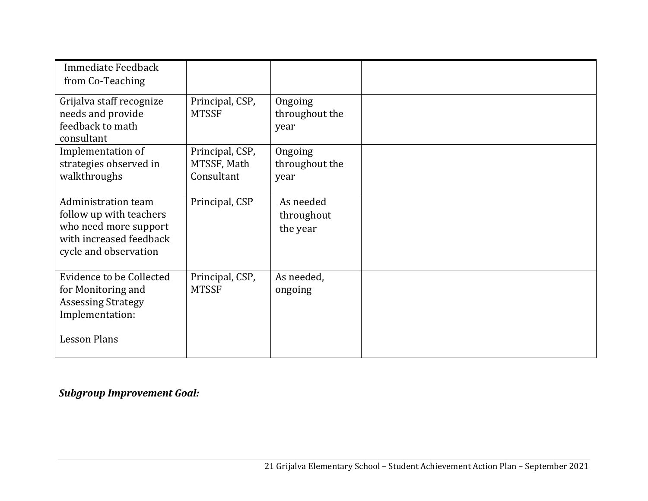| Immediate Feedback<br>from Co-Teaching                                                                                      |                                              |                                     |  |
|-----------------------------------------------------------------------------------------------------------------------------|----------------------------------------------|-------------------------------------|--|
| Grijalva staff recognize<br>needs and provide<br>feedback to math<br>consultant                                             | Principal, CSP,<br><b>MTSSF</b>              | Ongoing<br>throughout the<br>year   |  |
| Implementation of<br>strategies observed in<br>walkthroughs                                                                 | Principal, CSP,<br>MTSSF, Math<br>Consultant | Ongoing<br>throughout the<br>year   |  |
| Administration team<br>follow up with teachers<br>who need more support<br>with increased feedback<br>cycle and observation | Principal, CSP                               | As needed<br>throughout<br>the year |  |
| Evidence to be Collected<br>for Monitoring and<br><b>Assessing Strategy</b><br>Implementation:                              | Principal, CSP,<br><b>MTSSF</b>              | As needed,<br>ongoing               |  |
| <b>Lesson Plans</b>                                                                                                         |                                              |                                     |  |

## *Subgroup Improvement Goal:*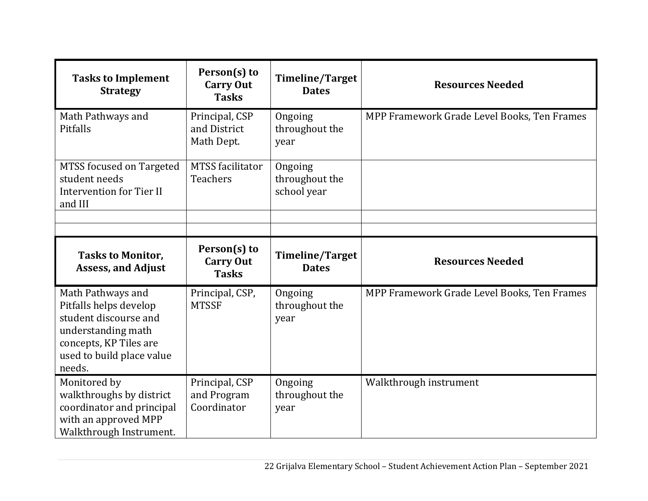| <b>Tasks to Implement</b><br><b>Strategy</b>                                                                                                                | Person(s) to<br><b>Carry Out</b><br><b>Tasks</b> | Timeline/Target<br><b>Dates</b>          | <b>Resources Needed</b>                     |
|-------------------------------------------------------------------------------------------------------------------------------------------------------------|--------------------------------------------------|------------------------------------------|---------------------------------------------|
| Math Pathways and<br>Pitfalls                                                                                                                               | Principal, CSP<br>and District<br>Math Dept.     | Ongoing<br>throughout the<br>year        | MPP Framework Grade Level Books, Ten Frames |
| MTSS focused on Targeted<br>student needs<br><b>Intervention for Tier II</b><br>and III                                                                     | <b>MTSS</b> facilitator<br><b>Teachers</b>       | Ongoing<br>throughout the<br>school year |                                             |
| <b>Tasks to Monitor,</b><br><b>Assess, and Adjust</b>                                                                                                       | Person(s) to<br><b>Carry Out</b><br><b>Tasks</b> | Timeline/Target<br><b>Dates</b>          | <b>Resources Needed</b>                     |
| Math Pathways and<br>Pitfalls helps develop<br>student discourse and<br>understanding math<br>concepts, KP Tiles are<br>used to build place value<br>needs. | Principal, CSP,<br><b>MTSSF</b>                  | Ongoing<br>throughout the<br>year        | MPP Framework Grade Level Books, Ten Frames |
| Monitored by<br>walkthroughs by district<br>coordinator and principal<br>with an approved MPP<br>Walkthrough Instrument.                                    | Principal, CSP<br>and Program<br>Coordinator     | Ongoing<br>throughout the<br>year        | Walkthrough instrument                      |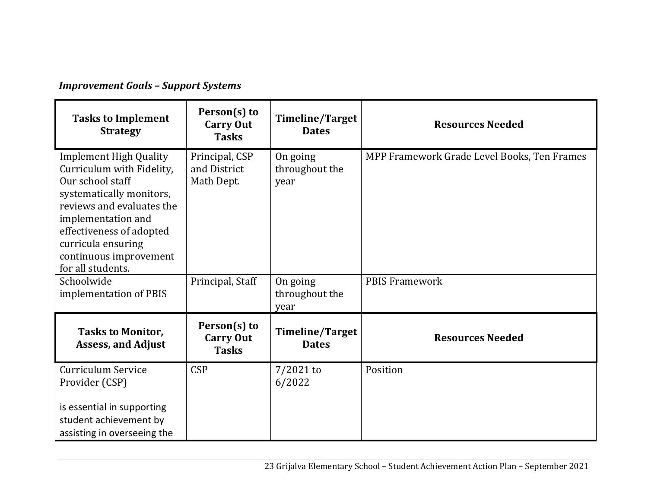## *Improvement Goals – Support Systems*

| <b>Tasks to Implement</b><br><b>Strategy</b>                                                                                                                                                                                                                   | Person(s) to<br><b>Carry Out</b><br><b>Tasks</b> | Timeline/Target<br><b>Dates</b>        | <b>Resources Needed</b>                     |
|----------------------------------------------------------------------------------------------------------------------------------------------------------------------------------------------------------------------------------------------------------------|--------------------------------------------------|----------------------------------------|---------------------------------------------|
| <b>Implement High Quality</b><br>Curriculum with Fidelity,<br>Our school staff<br>systematically monitors,<br>reviews and evaluates the<br>implementation and<br>effectiveness of adopted<br>curricula ensuring<br>continuous improvement<br>for all students. | Principal, CSP<br>and District<br>Math Dept.     | On going<br>throughout the<br>year     | MPP Framework Grade Level Books, Ten Frames |
| Schoolwide<br>implementation of PBIS                                                                                                                                                                                                                           | Principal, Staff                                 | On going<br>throughout the<br>year     | <b>PBIS Framework</b>                       |
| <b>Tasks to Monitor,</b><br><b>Assess, and Adjust</b>                                                                                                                                                                                                          | Person(s) to<br><b>Carry Out</b><br><b>Tasks</b> | <b>Timeline/Target</b><br><b>Dates</b> | <b>Resources Needed</b>                     |
| Curriculum Service<br>Provider (CSP)<br>is essential in supporting<br>student achievement by<br>assisting in overseeing the                                                                                                                                    | <b>CSP</b>                                       | $7/2021$ to<br>6/2022                  | Position                                    |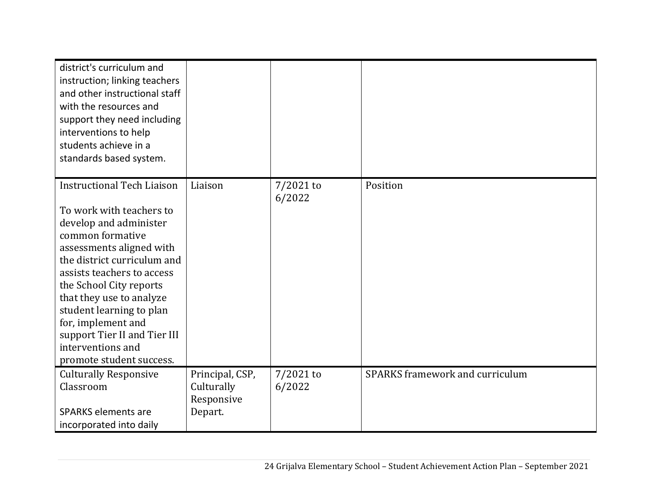| district's curriculum and<br>instruction; linking teachers<br>and other instructional staff<br>with the resources and<br>support they need including<br>interventions to help<br>students achieve in a<br>standards based system.                                                                                                                                                              |                                                        |                       |                                        |
|------------------------------------------------------------------------------------------------------------------------------------------------------------------------------------------------------------------------------------------------------------------------------------------------------------------------------------------------------------------------------------------------|--------------------------------------------------------|-----------------------|----------------------------------------|
| <b>Instructional Tech Liaison</b><br>To work with teachers to<br>develop and administer<br>common formative<br>assessments aligned with<br>the district curriculum and<br>assists teachers to access<br>the School City reports<br>that they use to analyze<br>student learning to plan<br>for, implement and<br>support Tier II and Tier III<br>interventions and<br>promote student success. | Liaison                                                | $7/2021$ to<br>6/2022 | Position                               |
| <b>Culturally Responsive</b><br>Classroom<br><b>SPARKS elements are</b><br>incorporated into daily                                                                                                                                                                                                                                                                                             | Principal, CSP,<br>Culturally<br>Responsive<br>Depart. | $7/2021$ to<br>6/2022 | <b>SPARKS</b> framework and curriculum |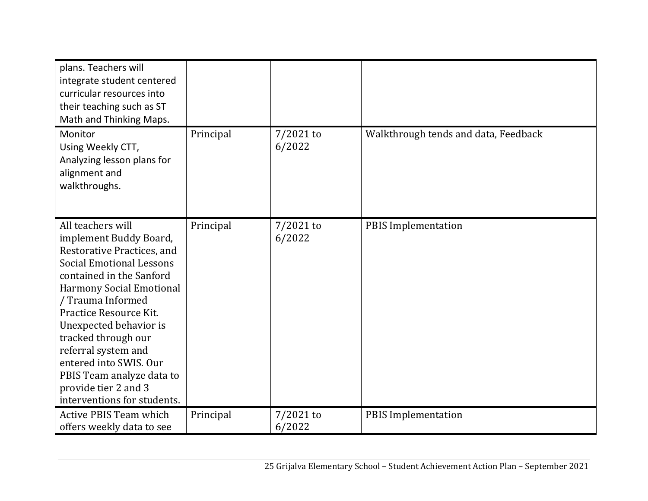| plans. Teachers will<br>integrate student centered<br>curricular resources into<br>their teaching such as ST<br>Math and Thinking Maps.                                                                                                                                                                                                                                                                          |           |                       |                                      |
|------------------------------------------------------------------------------------------------------------------------------------------------------------------------------------------------------------------------------------------------------------------------------------------------------------------------------------------------------------------------------------------------------------------|-----------|-----------------------|--------------------------------------|
| Monitor<br>Using Weekly CTT,<br>Analyzing lesson plans for<br>alignment and<br>walkthroughs.                                                                                                                                                                                                                                                                                                                     | Principal | $7/2021$ to<br>6/2022 | Walkthrough tends and data, Feedback |
| All teachers will<br>implement Buddy Board,<br>Restorative Practices, and<br><b>Social Emotional Lessons</b><br>contained in the Sanford<br><b>Harmony Social Emotional</b><br>/ Trauma Informed<br>Practice Resource Kit.<br>Unexpected behavior is<br>tracked through our<br>referral system and<br>entered into SWIS. Our<br>PBIS Team analyze data to<br>provide tier 2 and 3<br>interventions for students. | Principal | $7/2021$ to<br>6/2022 | <b>PBIS Implementation</b>           |
| <b>Active PBIS Team which</b><br>offers weekly data to see                                                                                                                                                                                                                                                                                                                                                       | Principal | $7/2021$ to<br>6/2022 | <b>PBIS Implementation</b>           |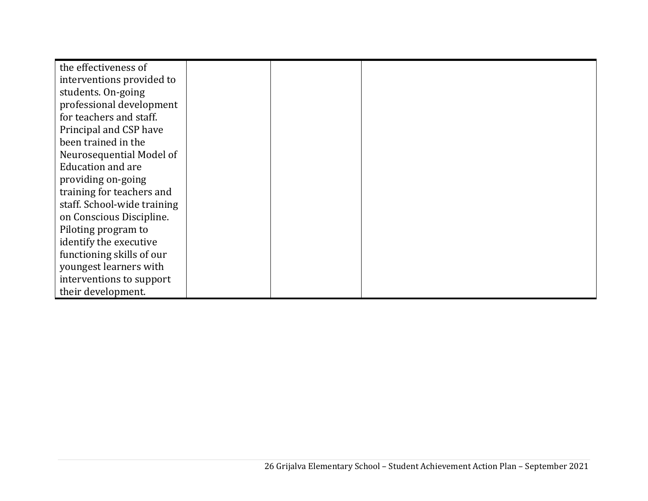| the effectiveness of        |  |  |
|-----------------------------|--|--|
| interventions provided to   |  |  |
| students. On-going          |  |  |
| professional development    |  |  |
| for teachers and staff.     |  |  |
| Principal and CSP have      |  |  |
| been trained in the         |  |  |
| Neurosequential Model of    |  |  |
| <b>Education and are</b>    |  |  |
| providing on-going          |  |  |
| training for teachers and   |  |  |
| staff. School-wide training |  |  |
| on Conscious Discipline.    |  |  |
| Piloting program to         |  |  |
| identify the executive      |  |  |
| functioning skills of our   |  |  |
| youngest learners with      |  |  |
| interventions to support    |  |  |
| their development.          |  |  |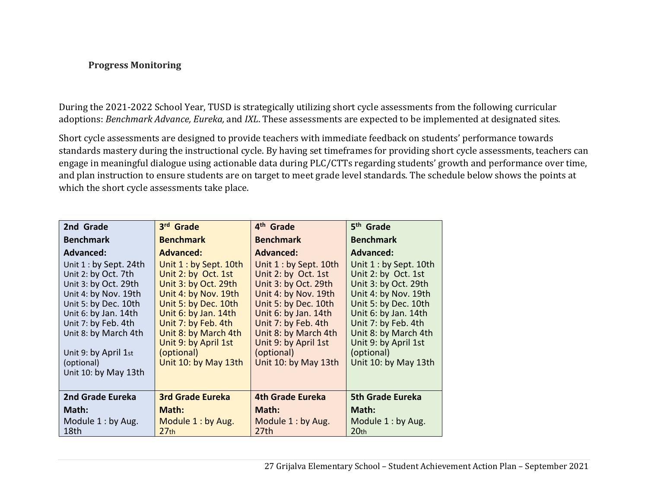#### **Progress Monitoring**

During the 2021-2022 School Year, TUSD is strategically utilizing short cycle assessments from the following curricular adoptions: *Benchmark Advance, Eureka,* and *IXL*. These assessments are expected to be implemented at designated sites.

Short cycle assessments are designed to provide teachers with immediate feedback on students' performance towards standards mastery during the instructional cycle. By having set timeframes for providing short cycle assessments, teachers can engage in meaningful dialogue using actionable data during PLC/CTTs regarding students' growth and performance over time, and plan instruction to ensure students are on target to meet grade level standards. The schedule below shows the points at which the short cycle assessments take place.

| 2nd Grade                                                                                                                                                                                                                                                   | 3rd Grade                                                                                                                                                                                                                                                   | 4 <sup>th</sup> Grade                                                                                                                                                                                                                                       | 5 <sup>th</sup> Grade                                                                                                                                                                                                                                      |
|-------------------------------------------------------------------------------------------------------------------------------------------------------------------------------------------------------------------------------------------------------------|-------------------------------------------------------------------------------------------------------------------------------------------------------------------------------------------------------------------------------------------------------------|-------------------------------------------------------------------------------------------------------------------------------------------------------------------------------------------------------------------------------------------------------------|------------------------------------------------------------------------------------------------------------------------------------------------------------------------------------------------------------------------------------------------------------|
| <b>Benchmark</b>                                                                                                                                                                                                                                            | <b>Benchmark</b>                                                                                                                                                                                                                                            | <b>Benchmark</b>                                                                                                                                                                                                                                            | <b>Benchmark</b>                                                                                                                                                                                                                                           |
| <b>Advanced:</b>                                                                                                                                                                                                                                            | <b>Advanced:</b>                                                                                                                                                                                                                                            | <b>Advanced:</b>                                                                                                                                                                                                                                            | Advanced:                                                                                                                                                                                                                                                  |
| Unit $1:$ by Sept. 24th<br>Unit 2: by Oct. 7th<br>Unit 3: by Oct. 29th<br>Unit 4: by Nov. 19th<br>Unit 5: by Dec. 10th<br>Unit 6: by Jan. 14th<br>Unit 7: by Feb. 4th<br>Unit 8: by March 4th<br>Unit 9: by April 1st<br>(optional)<br>Unit 10: by May 13th | Unit $1:$ by Sept. 10th<br>Unit 2: by Oct. 1st<br>Unit 3: by Oct. 29th<br>Unit 4: by Nov. 19th<br>Unit 5: by Dec. 10th<br>Unit 6: by Jan. 14th<br>Unit 7: by Feb. 4th<br>Unit 8: by March 4th<br>Unit 9: by April 1st<br>(optional)<br>Unit 10: by May 13th | Unit $1:$ by Sept. 10th<br>Unit 2: by Oct. 1st<br>Unit 3: by Oct. 29th<br>Unit 4: by Nov. 19th<br>Unit 5: by Dec. 10th<br>Unit 6: by Jan. 14th<br>Unit 7: by Feb. 4th<br>Unit 8: by March 4th<br>Unit 9: by April 1st<br>(optional)<br>Unit 10: by May 13th | Unit 1 : by Sept. 10th<br>Unit 2: by Oct. 1st<br>Unit 3: by Oct. 29th<br>Unit 4: by Nov. 19th<br>Unit 5: by Dec. 10th<br>Unit 6: by Jan. 14th<br>Unit 7: by Feb. 4th<br>Unit 8: by March 4th<br>Unit 9: by April 1st<br>(optional)<br>Unit 10: by May 13th |
| 2nd Grade Eureka                                                                                                                                                                                                                                            | <b>3rd Grade Eureka</b>                                                                                                                                                                                                                                     | <b>4th Grade Eureka</b>                                                                                                                                                                                                                                     | <b>5th Grade Eureka</b>                                                                                                                                                                                                                                    |
| Math:                                                                                                                                                                                                                                                       | Math:                                                                                                                                                                                                                                                       | Math:                                                                                                                                                                                                                                                       | Math:                                                                                                                                                                                                                                                      |
| Module $1:$ by Aug.<br>18th                                                                                                                                                                                                                                 | Module 1: by Aug.<br>27 <sub>th</sub>                                                                                                                                                                                                                       | Module 1: by Aug.<br>27 <sub>th</sub>                                                                                                                                                                                                                       | Module 1: by Aug.<br>20 <sub>th</sub>                                                                                                                                                                                                                      |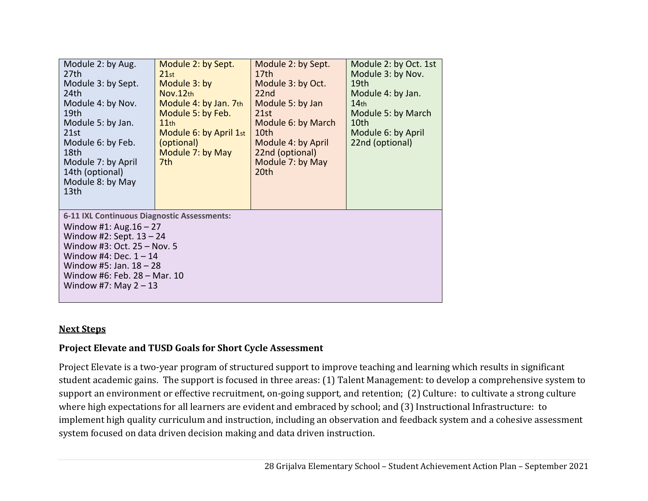| Module 2: by Aug.<br>27th<br>Module 3: by Sept.<br>24 <sub>th</sub><br>Module 4: by Nov.<br>19th<br>Module 5: by Jan.<br>21st<br>Module 6: by Feb.<br>18th<br>Module 7: by April<br>14th (optional)<br>Module 8: by May<br>13 <sub>th</sub>               | Module 2: by Sept.<br>21st<br>Module 3: by<br>Nov.12th<br>Module 4: by Jan. 7th<br>Module 5: by Feb.<br>11th<br>Module 6: by April 1st<br>(optional)<br>Module 7: by May<br>7th. | Module 2: by Sept.<br>17 <sub>th</sub><br>Module 3: by Oct.<br>22 <sub>nd</sub><br>Module 5: by Jan<br>21st<br>Module 6: by March<br>10th<br>Module 4: by April<br>22nd (optional)<br>Module 7: by May<br>20th | Module 2: by Oct. 1st<br>Module 3: by Nov.<br>19 <sub>th</sub><br>Module 4: by Jan.<br>14 <sub>th</sub><br>Module 5: by March<br>10th<br>Module 6: by April<br>22nd (optional) |  |  |
|-----------------------------------------------------------------------------------------------------------------------------------------------------------------------------------------------------------------------------------------------------------|----------------------------------------------------------------------------------------------------------------------------------------------------------------------------------|----------------------------------------------------------------------------------------------------------------------------------------------------------------------------------------------------------------|--------------------------------------------------------------------------------------------------------------------------------------------------------------------------------|--|--|
| 6-11 IXL Continuous Diagnostic Assessments:<br>Window #1: Aug. $16 - 27$<br>Window #2: Sept. $13 - 24$<br>Window #3: Oct. 25 - Nov. 5<br>Window #4: Dec. $1 - 14$<br>Window #5: Jan. $18 - 28$<br>Window #6: Feb. 28 - Mar. 10<br>Window #7: May $2 - 13$ |                                                                                                                                                                                  |                                                                                                                                                                                                                |                                                                                                                                                                                |  |  |

#### **Next Steps**

#### **Project Elevate and TUSD Goals for Short Cycle Assessment**

Project Elevate is a two-year program of structured support to improve teaching and learning which results in significant student academic gains. The support is focused in three areas: (1) Talent Management: to develop a comprehensive system to support an environment or effective recruitment, on-going support, and retention; (2) Culture: to cultivate a strong culture where high expectations for all learners are evident and embraced by school; and (3) Instructional Infrastructure: to implement high quality curriculum and instruction, including an observation and feedback system and a cohesive assessment system focused on data driven decision making and data driven instruction.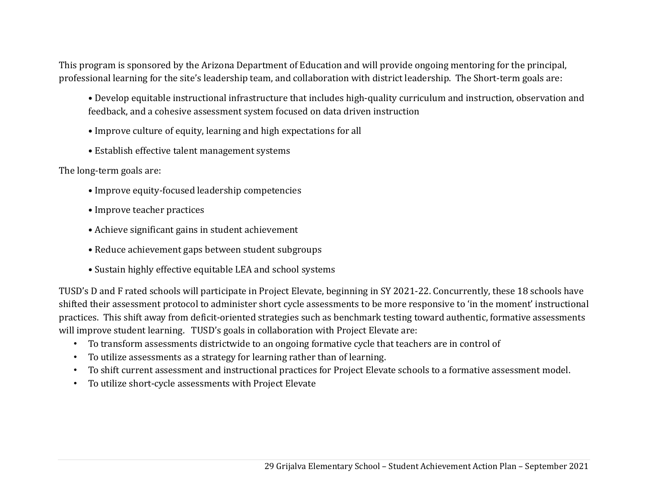This program is sponsored by the Arizona Department of Education and will provide ongoing mentoring for the principal, professional learning for the site's leadership team, and collaboration with district leadership. The Short-term goals are:

- Develop equitable instructional infrastructure that includes high-quality curriculum and instruction, observation and feedback, and a cohesive assessment system focused on data driven instruction
- Improve culture of equity, learning and high expectations for all
- Establish effective talent management systems

The long-term goals are:

- Improve equity-focused leadership competencies
- Improve teacher practices
- Achieve significant gains in student achievement
- Reduce achievement gaps between student subgroups
- Sustain highly effective equitable LEA and school systems

TUSD's D and F rated schools will participate in Project Elevate, beginning in SY 2021-22. Concurrently, these 18 schools have shifted their assessment protocol to administer short cycle assessments to be more responsive to 'in the moment' instructional practices. This shift away from deficit-oriented strategies such as benchmark testing toward authentic, formative assessments will improve student learning. TUSD's goals in collaboration with Project Elevate are:

- To transform assessments districtwide to an ongoing formative cycle that teachers are in control of
- To utilize assessments as a strategy for learning rather than of learning.
- To shift current assessment and instructional practices for Project Elevate schools to a formative assessment model.
- To utilize short-cycle assessments with Project Elevate